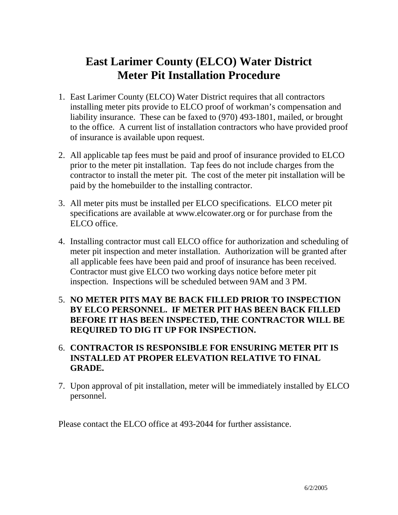## **East Larimer County (ELCO) Water District Meter Pit Installation Procedure**

- 1. East Larimer County (ELCO) Water District requires that all contractors installing meter pits provide to ELCO proof of workman's compensation and liability insurance. These can be faxed to (970) 493-1801, mailed, or brought to the office. A current list of installation contractors who have provided proof of insurance is available upon request.
- 2. All applicable tap fees must be paid and proof of insurance provided to ELCO prior to the meter pit installation. Tap fees do not include charges from the contractor to install the meter pit. The cost of the meter pit installation will be paid by the homebuilder to the installing contractor.
- 3. All meter pits must be installed per ELCO specifications. ELCO meter pit specifications are available at [www.elcowater.org](http://www.elcowater.org/) or for purchase from the ELCO office.
- 4. Installing contractor must call ELCO office for authorization and scheduling of meter pit inspection and meter installation. Authorization will be granted after all applicable fees have been paid and proof of insurance has been received. Contractor must give ELCO two working days notice before meter pit inspection. Inspections will be scheduled between 9AM and 3 PM.
- 5. **NO METER PITS MAY BE BACK FILLED PRIOR TO INSPECTION BY ELCO PERSONNEL. IF METER PIT HAS BEEN BACK FILLED BEFORE IT HAS BEEN INSPECTED, THE CONTRACTOR WILL BE REQUIRED TO DIG IT UP FOR INSPECTION.**
- 6. **CONTRACTOR IS RESPONSIBLE FOR ENSURING METER PIT IS INSTALLED AT PROPER ELEVATION RELATIVE TO FINAL GRADE.**
- 7. Upon approval of pit installation, meter will be immediately installed by ELCO personnel.

Please contact the ELCO office at 493-2044 for further assistance.